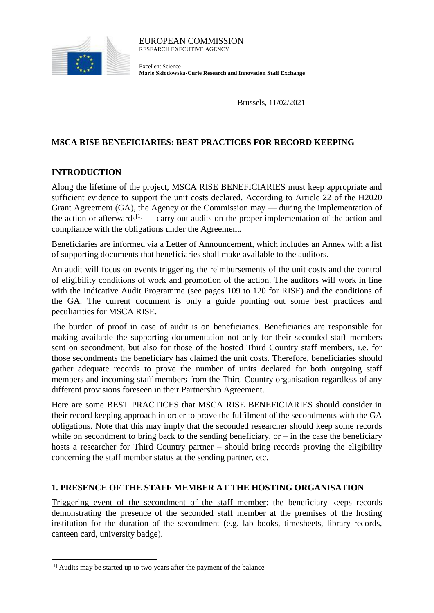

Excellent Science **Marie Skłodowska-Curie Research and Innovation Staff Exchange**

Brussels, 11/02/2021

## **MSCA RISE BENEFICIARIES: BEST PRACTICES FOR RECORD KEEPING**

### **INTRODUCTION**

Along the lifetime of the project, MSCA RISE BENEFICIARIES must keep appropriate and sufficient evidence to support the unit costs declared. According to Article 22 of the H2020 Grant Agreement (GA), the Agency or the Commission may — during the implementation of the action or afterwards<sup>[1]</sup> — carry out audits on the proper implementation of the action and compliance with the obligations under the Agreement.

Beneficiaries are informed via a Letter of Announcement, which includes an Annex with a list of supporting documents that beneficiaries shall make available to the auditors.

An audit will focus on events triggering the reimbursements of the unit costs and the control of eligibility conditions of work and promotion of the action. The auditors will work in line with the Indicative Audit Programme (see pages 109 to 120 for RISE) and the conditions of the GA. The current document is only a guide pointing out some best practices and peculiarities for MSCA RISE.

The burden of proof in case of audit is on beneficiaries. Beneficiaries are responsible for making available the supporting documentation not only for their seconded staff members sent on secondment, but also for those of the hosted Third Country staff members, i.e. for those secondments the beneficiary has claimed the unit costs. Therefore, beneficiaries should gather adequate records to prove the number of units declared for both outgoing staff members and incoming staff members from the Third Country organisation regardless of any different provisions foreseen in their Partnership Agreement.

Here are some BEST PRACTICES that MSCA RISE BENEFICIARIES should consider in their record keeping approach in order to prove the fulfilment of the secondments with the GA obligations. Note that this may imply that the seconded researcher should keep some records while on secondment to bring back to the sending beneficiary, or  $-$  in the case the beneficiary hosts a researcher for Third Country partner – should bring records proving the eligibility concerning the staff member status at the sending partner, etc.

#### **1. PRESENCE OF THE STAFF MEMBER AT THE HOSTING ORGANISATION**

Triggering event of the secondment of the staff member: the beneficiary keeps records demonstrating the presence of the seconded staff member at the premises of the hosting institution for the duration of the secondment (e.g. lab books, timesheets, library records, canteen card, university badge).

**.** 

<sup>[1]</sup> Audits may be started up to two years after the payment of the balance